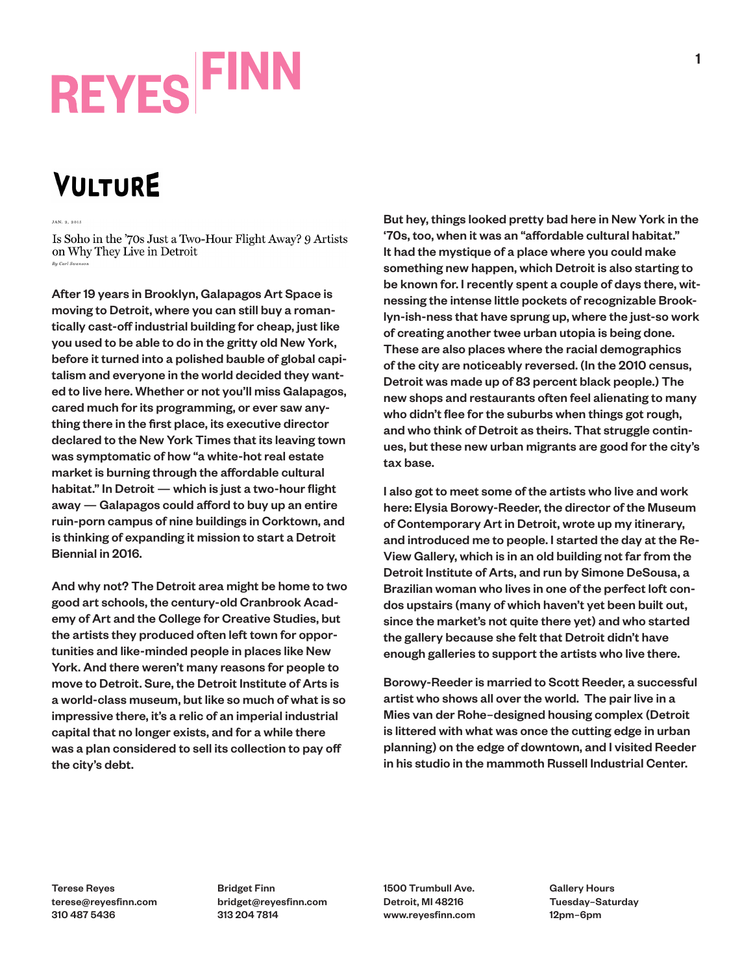# **REYES FINN**

### **VULTURE**

Is Soho in the '70s Just a Two-Hour Flight Away? 9 Artists on Why They Live in Detroit By Carl Swanson

After 19 years in Brooklyn, Galapagos Art Space is moving to Detroit, where you can still buy a romantically cast-off industrial building for cheap, just like you used to be able to do in the gritty old New York, before it turned into a polished bauble of global capitalism and everyone in the world decided they wanted to live here. Whether or not you'll miss Galapagos, cared much for its programming, or ever saw anything there in the first place, its executive director declared to the New York Times that its leaving town was symptomatic of how "a white-hot real estate market is burning through the affordable cultural habitat." In Detroit — which is just a two-hour flight away — Galapagos could afford to buy up an entire ruin-porn campus of nine buildings in Corktown, and is thinking of expanding it mission to start a Detroit Biennial in 2016.

And why not? The Detroit area might be home to two good art schools, the century-old Cranbrook Academy of Art and the College for Creative Studies, but the artists they produced often left town for opportunities and like-minded people in places like New York. And there weren't many reasons for people to move to Detroit. Sure, the Detroit Institute of Arts is a world-class museum, but like so much of what is so impressive there, it's a relic of an imperial industrial capital that no longer exists, and for a while there was a plan considered to sell its collection to pay off the city's debt.

But hey, things looked pretty bad here in New York in the '70s, too, when it was an "affordable cultural habitat." It had the mystique of a place where you could make something new happen, which Detroit is also starting to be known for. I recently spent a couple of days there, witnessing the intense little pockets of recognizable Brooklyn-ish-ness that have sprung up, where the just-so work of creating another twee urban utopia is being done. These are also places where the racial demographics of the city are noticeably reversed. (In the 2010 census, Detroit was made up of 83 percent black people.) The new shops and restaurants often feel alienating to many who didn't flee for the suburbs when things got rough, and who think of Detroit as theirs. That struggle continues, but these new urban migrants are good for the city's tax base.

I also got to meet some of the artists who live and work here: Elysia Borowy-Reeder, the director of the Museum of Contemporary Art in Detroit, wrote up my itinerary, and introduced me to people. I started the day at the Re-View Gallery, which is in an old building not far from the Detroit Institute of Arts, and run by Simone DeSousa, a Brazilian woman who lives in one of the perfect loft condos upstairs (many of which haven't yet been built out, since the market's not quite there yet) and who started the gallery because she felt that Detroit didn't have enough galleries to support the artists who live there.

Borowy-Reeder is married to Scott Reeder, a successful artist who shows all over the world. The pair live in a Mies van der Rohe–designed housing complex (Detroit is littered with what was once the cutting edge in urban planning) on the edge of downtown, and I visited Reeder in his studio in the mammoth Russell Industrial Center.

Terese Reyes terese@reyesfinn.com 310 487 5436

Bridget Finn bridget@reyesfinn.com 313 204 7814

1500 Trumbull Ave. Detroit, MI 48216 www.reyesfinn.com Gallery Hours Tuesday–Saturday 12pm–6pm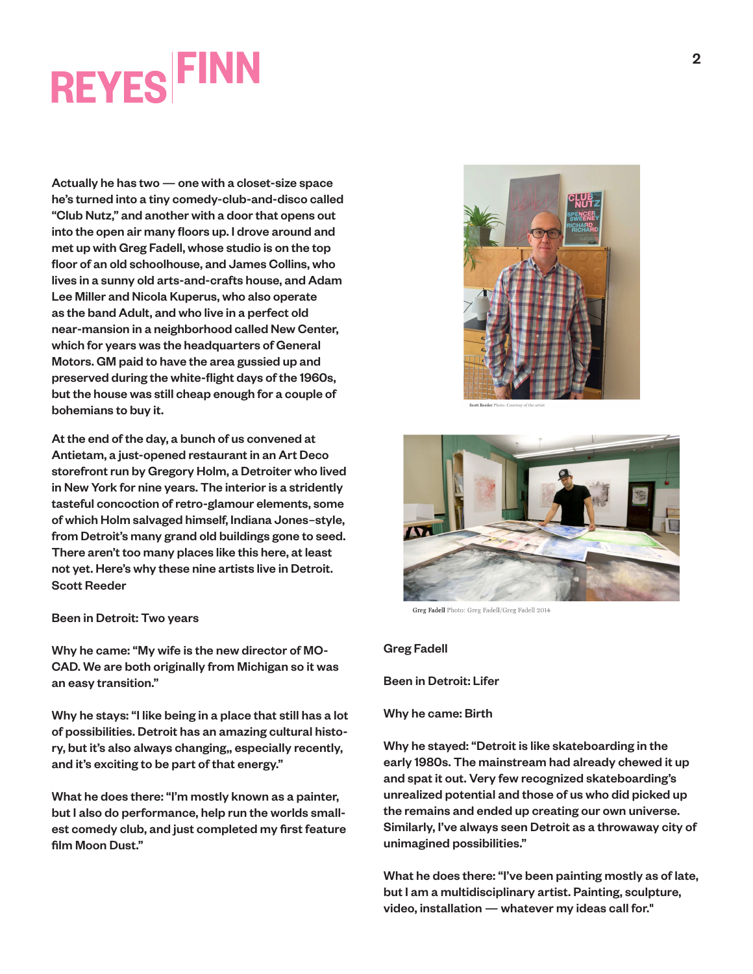### **REYES FINN**

Actually he has two — one with a closet-size space he's turned into a tiny comedy-club-and-disco called "Club Nutz," and another with a door that opens out into the open air many floors up. I drove around and met up with Greg Fadell, whose studio is on the top floor of an old schoolhouse, and James Collins, who lives in a sunny old arts-and-crafts house, and Adam Lee Miller and Nicola Kuperus, who also operate as the band Adult, and who live in a perfect old near-mansion in a neighborhood called New Center, which for years was the headquarters of General Motors. GM paid to have the area gussied up and preserved during the white-flight days of the 1960s, but the house was still cheap enough for a couple of bohemians to buy it.

Scott Reeder At the end of the day, a bunch of us convened at Antietam, a just-opened restaurant in an Art Deco storefront run by Gregory Holm, a Detroiter who lived in New York for nine years. The interior is a stridently tasteful concoction of retro-glamour elements, some of which Holm salvaged himself, Indiana Jones–style, from Detroit's many grand old buildings gone to seed. There aren't too many places like this here, at least not yet. Here's why these nine artists live in Detroit.

#### Been in Detroit: Two years

Why he came: "My wife is the new director of MO-CAD. We are both originally from Michigan so it was an easy transition."

Why he stays: "I like being in a place that still has a lot of possibilities. Detroit has an amazing cultural history, but it's also always changing,, especially recently, and it's exciting to be part of that energy."

What he does there: "I'm mostly known as a painter, but I also do performance, help run the worlds smallest comedy club, and just completed my first feature film Moon Dust."





Greg Fadell Photo: Greg Fadell/Greg Fadell 2014

#### Greg Fadell

Been in Detroit: Lifer

#### Why he came: Birth

Why he stayed: "Detroit is like skateboarding in the early 1980s. The mainstream had already chewed it up and spat it out. Very few recognized skateboarding's unrealized potential and those of us who did picked up the remains and ended up creating our own universe. Similarly, I've always seen Detroit as a throwaway city of unimagined possibilities."

What he does there: "I've been painting mostly as of late, but I am a multidisciplinary artist. Painting, sculpture, video, installation — whatever my ideas call for."